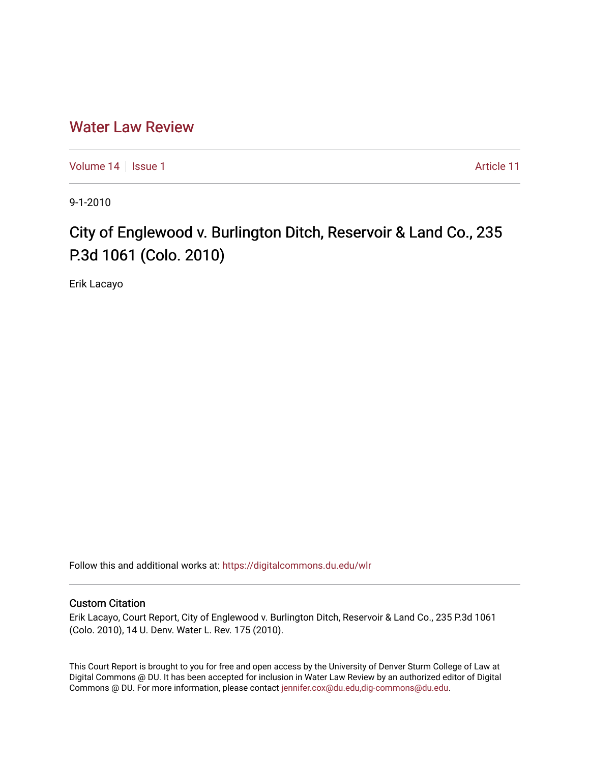# [Water Law Review](https://digitalcommons.du.edu/wlr)

[Volume 14](https://digitalcommons.du.edu/wlr/vol14) | [Issue 1](https://digitalcommons.du.edu/wlr/vol14/iss1) Article 11

9-1-2010

# City of Englewood v. Burlington Ditch, Reservoir & Land Co., 235 P.3d 1061 (Colo. 2010)

Erik Lacayo

Follow this and additional works at: [https://digitalcommons.du.edu/wlr](https://digitalcommons.du.edu/wlr?utm_source=digitalcommons.du.edu%2Fwlr%2Fvol14%2Fiss1%2F11&utm_medium=PDF&utm_campaign=PDFCoverPages) 

#### Custom Citation

Erik Lacayo, Court Report, City of Englewood v. Burlington Ditch, Reservoir & Land Co., 235 P.3d 1061 (Colo. 2010), 14 U. Denv. Water L. Rev. 175 (2010).

This Court Report is brought to you for free and open access by the University of Denver Sturm College of Law at Digital Commons @ DU. It has been accepted for inclusion in Water Law Review by an authorized editor of Digital Commons @ DU. For more information, please contact [jennifer.cox@du.edu,dig-commons@du.edu.](mailto:jennifer.cox@du.edu,dig-commons@du.edu)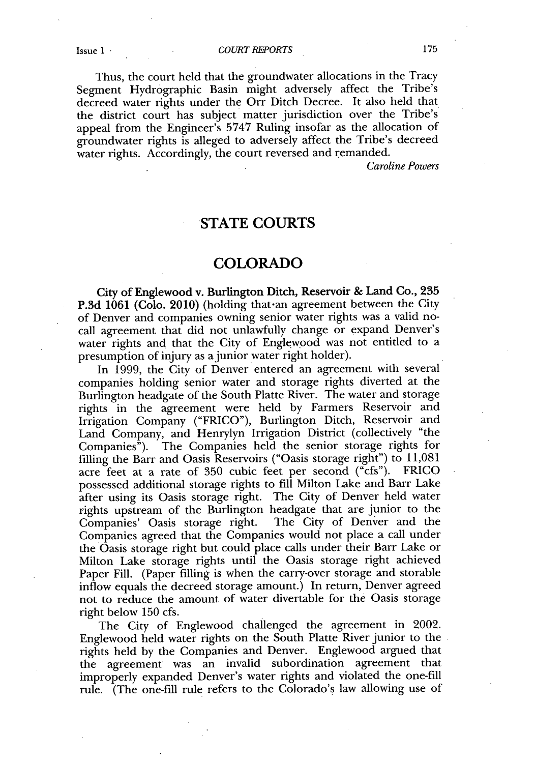Thus, the court held that the groundwater allocations in the Tracy Segment Hydrographic Basin might adversely affect the Tribe's decreed water rights under the Orr Ditch Decree. It also held that the district court has subject matter jurisdiction over the Tribe's appeal from the Engineer's **5747** Ruling insofar as the allocation of groundwater rights is alleged to adversely affect the Tribe's decreed water rights. Accordingly, the court reversed and remanded.

*Caroline Powers*

## **STATE COURTS**

### **COLORADO**

**City of Englewood v. Burlington Ditch, Reservoir & Land Co., 235 P.3d 1061** (Colo. 2010) (holding that-an agreement between the City of Denver and companies owning senior water rights was a valid nocall agreement that did not unlawfully change or expand Denver's water rights and that the City of Englewood was not entitled to a presumption of injury as a junior water right holder).

In **1999,** the City of Denver entered an agreement with several companies holding senior water and storage rights diverted at the Burlington headgate of the South Platte River. The water and storage rights in the agreement were held **by** Farmers Reservoir and Irrigation Company ("FRICO"), Burlington Ditch, Reservoir and Land Company, and Henrylyn Irrigation District (collectively "the Companies"). The Companies held the senior storage rights for filling the Barr and Oasis Reservoirs ("Oasis storage right") to **11,081** acre feet at a rate of **350** cubic feet per second ("cfs"). FRICO possessed additional storage rights to **fill** Milton Lake and Barr Lake after using its Oasis storage right. The City of Denver held water rights upstream of the Burlington headgate that are junior to the Companies' Oasis storage right. Companies agreed that the Companies would not place a call under the Oasis storage right but could place calls under their Barr Lake or Milton Lake storage rights until the Oasis storage right achieved Paper Fill. (Paper filling is when the carry-over storage and storable inflow equals the decreed storage amount.) In return, Denver agreed not to reduce the amount of water divertable for the Oasis storage right below **150** cfs.

The City of Englewood challenged the agreement in 2002. Englewood held water rights on the South Platte River junior to the rights held **by** the Companies and Denver. Englewood argued that the agreement was an invalid subordination agreement that improperly expanded Denver's water rights and violated the one-fill rule. (The one-fill rule refers to the Colorado's law allowing use of